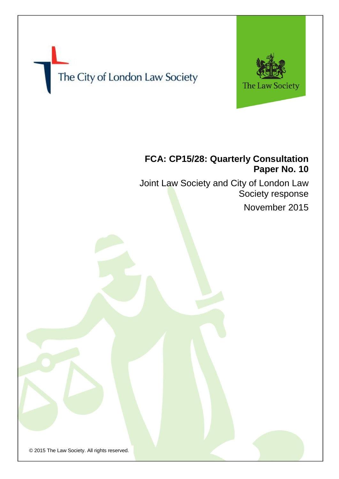

© 2015 The Law Society. All rights reserved.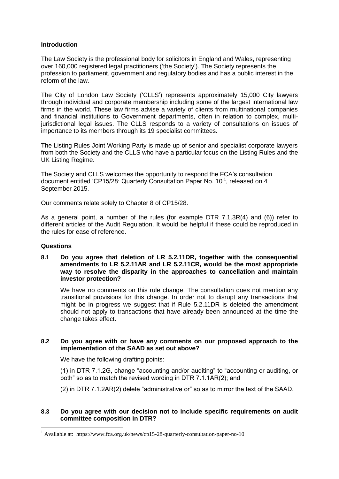# **Introduction**

The Law Society is the professional body for solicitors in England and Wales, representing over 160,000 registered legal practitioners ('the Society'). The Society represents the profession to parliament, government and regulatory bodies and has a public interest in the reform of the law.

The City of London Law Society ('CLLS') represents approximately 15,000 City lawyers through individual and corporate membership including some of the largest international law firms in the world. These law firms advise a variety of clients from multinational companies and financial institutions to Government departments, often in relation to complex, multijurisdictional legal issues. The CLLS responds to a variety of consultations on issues of importance to its members through its 19 specialist committees.

The Listing Rules Joint Working Party is made up of senior and specialist corporate lawyers from both the Society and the CLLS who have a particular focus on the Listing Rules and the UK Listing Regime.

The Society and CLLS welcomes the opportunity to respond the FCA's consultation document entitled 'CP15/28: Quarterly Consultation Paper No. 10<sup>1</sup>, released on 4 September 2015.

Our comments relate solely to Chapter 8 of CP15/28.

As a general point, a number of the rules (for example DTR 7.1.3R(4) and (6)) refer to different articles of the Audit Regulation. It would be helpful if these could be reproduced in the rules for ease of reference.

#### **Questions**

-

**8.1 Do you agree that deletion of LR 5.2.11DR, together with the consequential amendments to LR 5.2.11AR and LR 5.2.11CR, would be the most appropriate way to resolve the disparity in the approaches to cancellation and maintain investor protection?**

We have no comments on this rule change. The consultation does not mention any transitional provisions for this change. In order not to disrupt any transactions that might be in progress we suggest that if Rule 5.2.11DR is deleted the amendment should not apply to transactions that have already been announced at the time the change takes effect.

# **8.2 Do you agree with or have any comments on our proposed approach to the implementation of the SAAD as set out above?**

We have the following drafting points:

(1) in DTR 7.1.2G, change "accounting and/or auditing" to "accounting or auditing, or both" so as to match the revised wording in DTR 7.1.1AR(2); and

(2) in DTR 7.1.2AR(2) delete "administrative or" so as to mirror the text of the SAAD.

# **8.3 Do you agree with our decision not to include specific requirements on audit committee composition in DTR?**

<sup>1</sup> Available at: https://www.fca.org.uk/news/cp15-28-quarterly-consultation-paper-no-10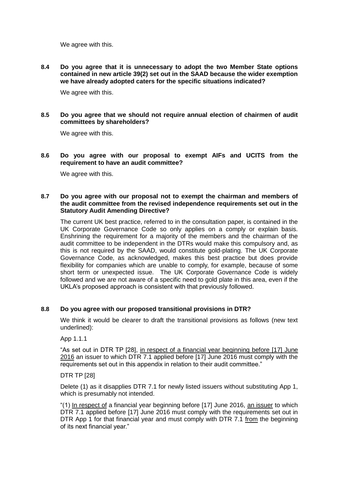We agree with this.

**8.4 Do you agree that it is unnecessary to adopt the two Member State options contained in new article 39(2) set out in the SAAD because the wider exemption we have already adopted caters for the specific situations indicated?**

We agree with this.

**8.5 Do you agree that we should not require annual election of chairmen of audit committees by shareholders?**

We agree with this.

**8.6 Do you agree with our proposal to exempt AIFs and UCITS from the requirement to have an audit committee?**

We agree with this.

### **8.7 Do you agree with our proposal not to exempt the chairman and members of the audit committee from the revised independence requirements set out in the Statutory Audit Amending Directive?**

The current UK best practice, referred to in the consultation paper, is contained in the UK Corporate Governance Code so only applies on a comply or explain basis. Enshrining the requirement for a majority of the members and the chairman of the audit committee to be independent in the DTRs would make this compulsory and, as this is not required by the SAAD, would constitute gold-plating. The UK Corporate Governance Code, as acknowledged, makes this best practice but does provide flexibility for companies which are unable to comply, for example, because of some short term or unexpected issue. The UK Corporate Governance Code is widely followed and we are not aware of a specific need to gold plate in this area, even if the UKLA's proposed approach is consistent with that previously followed.

# **8.8 Do you agree with our proposed transitional provisions in DTR?**

We think it would be clearer to draft the transitional provisions as follows (new text underlined):

App 1.1.1

"As set out in DTR TP [28], in respect of a financial year beginning before [17] June 2016 an issuer to which DTR 7.1 applied before [17] June 2016 must comply with the requirements set out in this appendix in relation to their audit committee."

DTR TP [28]

Delete (1) as it disapplies DTR 7.1 for newly listed issuers without substituting App 1, which is presumably not intended.

"(1) In respect of a financial year beginning before [17] June 2016, an issuer to which DTR 7.1 applied before [17] June 2016 must comply with the requirements set out in DTR App 1 for that financial year and must comply with DTR 7.1 from the beginning of its next financial year."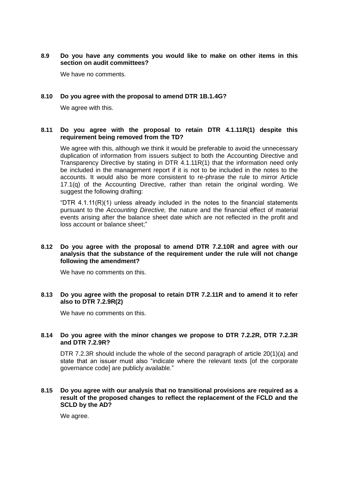# **8.9 Do you have any comments you would like to make on other items in this section on audit committees?**

We have no comments.

## **8.10 Do you agree with the proposal to amend DTR 1B.1.4G?**

We agree with this.

### **8.11 Do you agree with the proposal to retain DTR 4.1.11R(1) despite this requirement being removed from the TD?**

We agree with this, although we think it would be preferable to avoid the unnecessary duplication of information from issuers subject to both the Accounting Directive and Transparency Directive by stating in DTR 4.1.11R(1) that the information need only be included in the management report if it is not to be included in the notes to the accounts. It would also be more consistent to re-phrase the rule to mirror Article 17.1(q) of the Accounting Directive, rather than retain the original wording. We suggest the following drafting:

"DTR  $4.1.11(R)(1)$  unless already included in the notes to the financial statements pursuant to the *Accounting Directive,* the nature and the financial effect of material events arising after the balance sheet date which are not reflected in the profit and loss account or balance sheet;"

## **8.12 Do you agree with the proposal to amend DTR 7.2.10R and agree with our analysis that the substance of the requirement under the rule will not change following the amendment?**

We have no comments on this.

### **8.13 Do you agree with the proposal to retain DTR 7.2.11R and to amend it to refer also to DTR 7.2.9R(2)**

We have no comments on this.

### **8.14 Do you agree with the minor changes we propose to DTR 7.2.2R, DTR 7.2.3R and DTR 7.2.9R?**

DTR 7.2.3R should include the whole of the second paragraph of article 20(1)(a) and state that an issuer must also "indicate where the relevant texts [of the corporate governance code] are publicly available."

#### **8.15 Do you agree with our analysis that no transitional provisions are required as a result of the proposed changes to reflect the replacement of the FCLD and the SCLD by the AD?**

We agree.